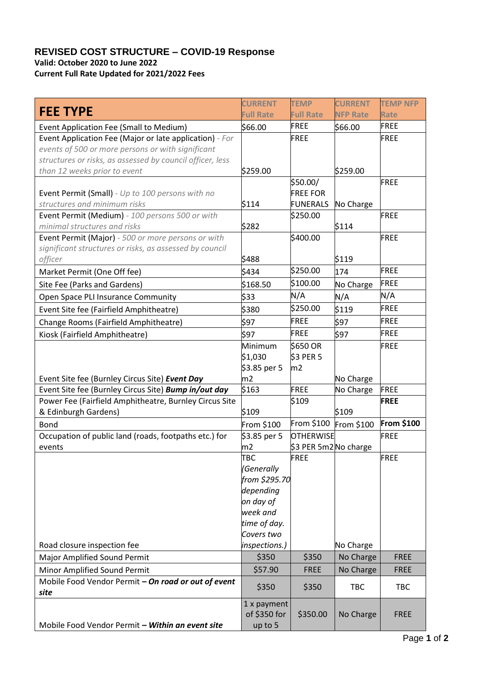## **REVISED COST STRUCTURE – COVID-19 Response Valid: October 2020 to June 2022**

**Current Full Rate Updated for 2021/2022 Fees**

| <b>FEE TYPE</b>                                                    | <b>CURRENT</b><br><b>Full Rate</b> | <b>TEMP</b><br><b>Full Rate</b>           | <b>CURRENT</b><br><b>NFP Rate</b> | <b>TEMP NFP</b><br><b>Rate</b> |
|--------------------------------------------------------------------|------------------------------------|-------------------------------------------|-----------------------------------|--------------------------------|
| Event Application Fee (Small to Medium)                            | \$66.00                            | <b>FREE</b>                               | \$66.00                           | <b>FREE</b>                    |
| Event Application Fee (Major or late application) - For            |                                    | <b>FREE</b>                               |                                   | FREE                           |
| events of 500 or more persons or with significant                  |                                    |                                           |                                   |                                |
| structures or risks, as assessed by council officer, less          |                                    |                                           |                                   |                                |
| than 12 weeks prior to event                                       | \$259.00                           |                                           | \$259.00                          |                                |
|                                                                    |                                    | \$50.00/                                  |                                   | FREE                           |
| Event Permit (Small) - Up to 100 persons with no                   |                                    | <b>FREE FOR</b>                           |                                   |                                |
| structures and minimum risks                                       | \$114                              | <b>FUNERALS</b>                           | No Charge                         |                                |
| Event Permit (Medium) - 100 persons 500 or with                    |                                    | \$250.00                                  |                                   | <b>FREE</b>                    |
| minimal structures and risks                                       | \$282                              |                                           | \$114                             |                                |
| Event Permit (Major) - 500 or more persons or with                 |                                    | \$400.00                                  |                                   | FREE                           |
| significant structures or risks, as assessed by council<br>officer | \$488                              |                                           | \$119                             |                                |
|                                                                    | \$434                              | \$250.00                                  | 174                               | FREE                           |
| Market Permit (One Off fee)                                        |                                    | \$100.00                                  |                                   | FREE                           |
| Site Fee (Parks and Gardens)                                       | \$168.50                           |                                           | No Charge                         |                                |
| Open Space PLI Insurance Community                                 | \$33                               | N/A                                       | N/A                               | N/A                            |
| Event Site fee (Fairfield Amphitheatre)                            | \$380                              | \$250.00                                  | \$119                             | FREE                           |
| Change Rooms (Fairfield Amphitheatre)                              | \$97                               | <b>FREE</b>                               | \$97                              | FREE                           |
| Kiosk (Fairfield Amphitheatre)                                     | \$97                               | <b>FREE</b>                               | \$97                              | <b>FREE</b>                    |
|                                                                    | Minimum                            | \$650 OR                                  |                                   | FREE                           |
|                                                                    | \$1,030                            | <b>\$3 PER 5</b>                          |                                   |                                |
|                                                                    | \$3.85 per 5                       | m2                                        |                                   |                                |
| Event Site fee (Burnley Circus Site) Event Day                     | m2                                 |                                           | No Charge                         |                                |
| Event Site fee (Burnley Circus Site) Bump in/out day               | \$163                              | FREE                                      | No Charge                         | <b>FREE</b>                    |
| Power Fee (Fairfield Amphitheatre, Burnley Circus Site             | \$109                              | \$109                                     | \$109                             | <b>FREE</b>                    |
| & Edinburgh Gardens)                                               |                                    |                                           |                                   | From \$100                     |
| <b>Bond</b>                                                        | From \$100                         | From \$100                                | From \$100                        |                                |
| Occupation of public land (roads, footpaths etc.) for              | \$3.85 per 5<br>m2                 | <b>OTHERWISE</b><br>\$3 PER 5m2 No charge |                                   | FREE                           |
| events                                                             | <b>TBC</b>                         | FREE                                      |                                   | <b>FREE</b>                    |
|                                                                    | (Generally                         |                                           |                                   |                                |
|                                                                    | from \$295.70                      |                                           |                                   |                                |
|                                                                    | depending                          |                                           |                                   |                                |
|                                                                    | on day of                          |                                           |                                   |                                |
|                                                                    | week and                           |                                           |                                   |                                |
|                                                                    | time of day.                       |                                           |                                   |                                |
|                                                                    | Covers two                         |                                           |                                   |                                |
| Road closure inspection fee                                        | inspections.)                      |                                           | No Charge                         |                                |
| Major Amplified Sound Permit                                       | \$350                              | \$350                                     | No Charge                         | <b>FREE</b>                    |
| Minor Amplified Sound Permit                                       | \$57.90                            | <b>FREE</b>                               | No Charge                         | <b>FREE</b>                    |
| Mobile Food Vendor Permit - On road or out of event<br>site        | \$350                              | \$350                                     | <b>TBC</b>                        | <b>TBC</b>                     |
|                                                                    | 1 x payment                        |                                           |                                   |                                |
|                                                                    | of \$350 for                       | \$350.00                                  | No Charge                         | <b>FREE</b>                    |
| Mobile Food Vendor Permit - Within an event site                   | up to 5                            |                                           |                                   |                                |